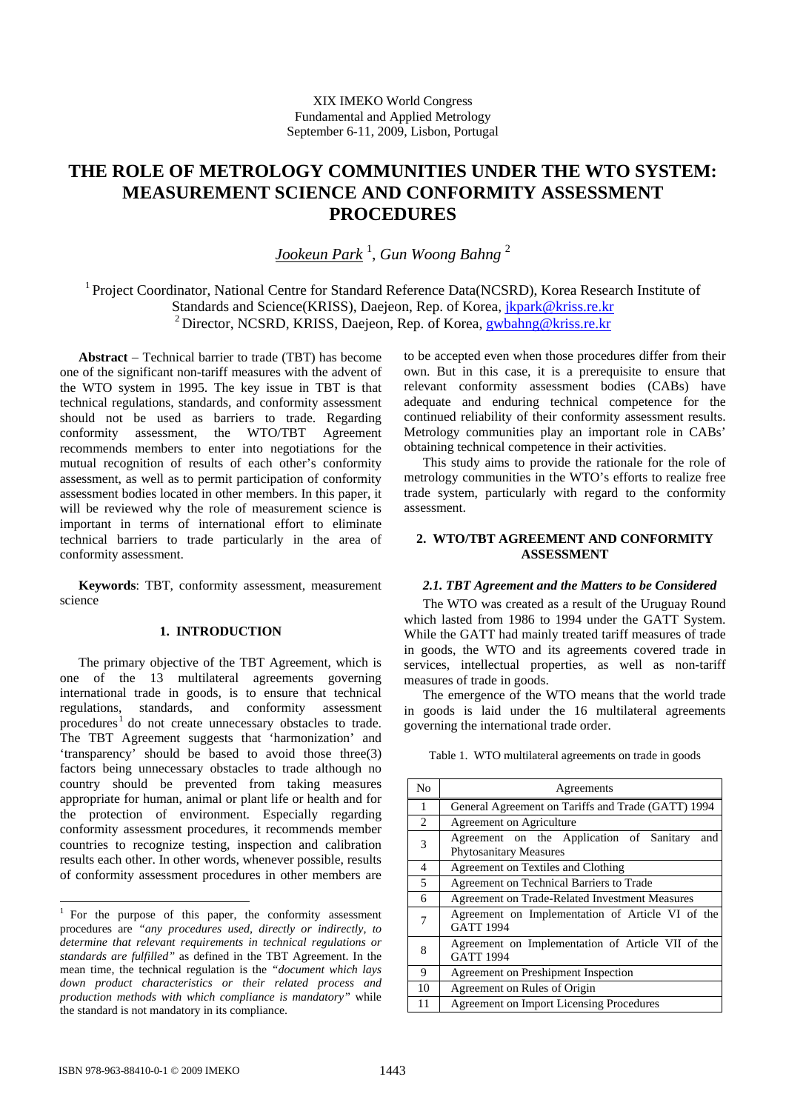# **THE ROLE OF METROLOGY COMMUNITIES UNDER THE WTO SYSTEM: MEASUREMENT SCIENCE AND CONFORMITY ASSESSMENT PROCEDURES**

*Jookeun Park* <sup>1</sup> , *Gun Woong Bahng* <sup>2</sup>

1 Project Coordinator, National Centre for Standard Reference Data(NCSRD), Korea Research Institute of Standards and Science(KRISS), Daejeon, Rep. of Korea, jkpark@kriss.re.kr <sup>2</sup> Director, NCSRD, KRISS, Daejeon, Rep. of Korea, gwbahng@kriss.re.kr

**Abstract** − Technical barrier to trade (TBT) has become one of the significant non-tariff measures with the advent of the WTO system in 1995. The key issue in TBT is that technical regulations, standards, and conformity assessment should not be used as barriers to trade. Regarding conformity assessment, the WTO/TBT Agreement recommends members to enter into negotiations for the mutual recognition of results of each other's conformity assessment, as well as to permit participation of conformity assessment bodies located in other members. In this paper, it will be reviewed why the role of measurement science is important in terms of international effort to eliminate technical barriers to trade particularly in the area of conformity assessment.

**Keywords**: TBT, conformity assessment, measurement science

## **1. INTRODUCTION**

The primary objective of the TBT Agreement, which is one of the 13 multilateral agreements governing international trade in goods, is to ensure that technical regulations, standards, and conformity assessment procedures<sup>1</sup> do not create unnecessary obstacles to trade. The TBT Agreement suggests that 'harmonization' and 'transparency' should be based to avoid those three(3) factors being unnecessary obstacles to trade although no country should be prevented from taking measures appropriate for human, animal or plant life or health and for the protection of environment. Especially regarding conformity assessment procedures, it recommends member countries to recognize testing, inspection and calibration results each other. In other words, whenever possible, results of conformity assessment procedures in other members are

to be accepted even when those procedures differ from their own. But in this case, it is a prerequisite to ensure that relevant conformity assessment bodies (CABs) have adequate and enduring technical competence for the continued reliability of their conformity assessment results. Metrology communities play an important role in CABs' obtaining technical competence in their activities.

This study aims to provide the rationale for the role of metrology communities in the WTO's efforts to realize free trade system, particularly with regard to the conformity assessment.

# **2. WTO/TBT AGREEMENT AND CONFORMITY ASSESSMENT**

## *2.1. TBT Agreement and the Matters to be Considered*

The WTO was created as a result of the Uruguay Round which lasted from 1986 to 1994 under the GATT System. While the GATT had mainly treated tariff measures of trade in goods, the WTO and its agreements covered trade in services, intellectual properties, as well as non-tariff measures of trade in goods.

The emergence of the WTO means that the world trade in goods is laid under the 16 multilateral agreements governing the international trade order.

| N <sub>0</sub>           | Agreements                                                                       |
|--------------------------|----------------------------------------------------------------------------------|
| 1                        | General Agreement on Tariffs and Trade (GATT) 1994                               |
| $\mathfrak{D}$           | Agreement on Agriculture                                                         |
| 3                        | Agreement on the Application of Sanitary<br>and<br><b>Phytosanitary Measures</b> |
| $\overline{4}$           | Agreement on Textiles and Clothing                                               |
| $\overline{\phantom{0}}$ | Agreement on Technical Barriers to Trade                                         |
| 6                        | Agreement on Trade-Related Investment Measures                                   |
|                          | Agreement on Implementation of Article VI of the<br><b>GATT 1994</b>             |
| 8                        | Agreement on Implementation of Article VII of the<br><b>GATT 1994</b>            |
| 9                        | Agreement on Preshipment Inspection                                              |
| 10                       | Agreement on Rules of Origin                                                     |
| 11                       | Agreement on Import Licensing Procedures                                         |

Table 1. WTO multilateral agreements on trade in goods

-

<sup>&</sup>lt;sup>1</sup> For the purpose of this paper, the conformity assessment procedures are *"any procedures used, directly or indirectly, to determine that relevant requirements in technical regulations or standards are fulfilled"* as defined in the TBT Agreement. In the mean time, the technical regulation is the *"document which lays down product characteristics or their related process and production methods with which compliance is mandatory"* while the standard is not mandatory in its compliance.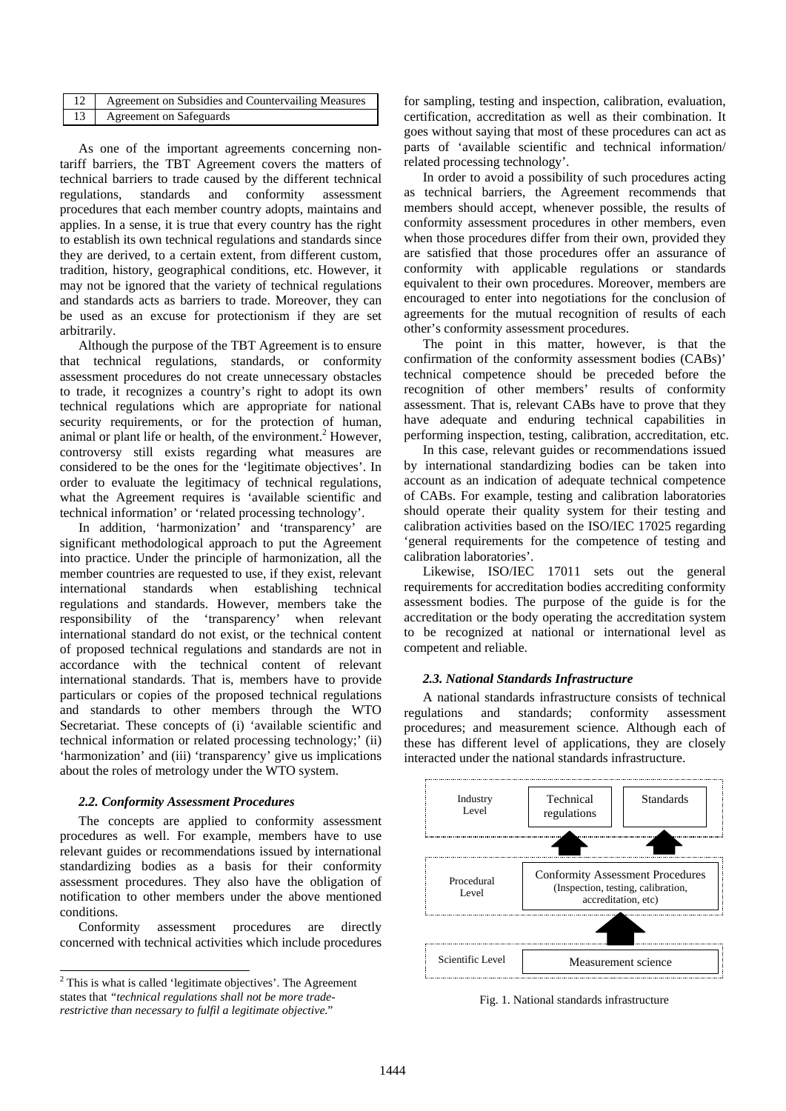| 12   Agreement on Subsidies and Countervailing Measures |
|---------------------------------------------------------|
| 13   Agreement on Safeguards                            |

As one of the important agreements concerning nontariff barriers, the TBT Agreement covers the matters of technical barriers to trade caused by the different technical regulations, standards and conformity assessment procedures that each member country adopts, maintains and applies. In a sense, it is true that every country has the right to establish its own technical regulations and standards since they are derived, to a certain extent, from different custom, tradition, history, geographical conditions, etc. However, it may not be ignored that the variety of technical regulations and standards acts as barriers to trade. Moreover, they can be used as an excuse for protectionism if they are set arbitrarily.

Although the purpose of the TBT Agreement is to ensure that technical regulations, standards, or conformity assessment procedures do not create unnecessary obstacles to trade, it recognizes a country's right to adopt its own technical regulations which are appropriate for national security requirements, or for the protection of human, animal or plant life or health, of the environment.<sup>2</sup> However, controversy still exists regarding what measures are considered to be the ones for the 'legitimate objectives'. In order to evaluate the legitimacy of technical regulations, what the Agreement requires is 'available scientific and technical information' or 'related processing technology'.

In addition, 'harmonization' and 'transparency' are significant methodological approach to put the Agreement into practice. Under the principle of harmonization, all the member countries are requested to use, if they exist, relevant international standards when establishing technical regulations and standards. However, members take the responsibility of the 'transparency' when relevant international standard do not exist, or the technical content of proposed technical regulations and standards are not in accordance with the technical content of relevant international standards. That is, members have to provide particulars or copies of the proposed technical regulations and standards to other members through the WTO Secretariat. These concepts of (i) 'available scientific and technical information or related processing technology;' (ii) 'harmonization' and (iii) 'transparency' give us implications about the roles of metrology under the WTO system.

## *2.2. Conformity Assessment Procedures*

The concepts are applied to conformity assessment procedures as well. For example, members have to use relevant guides or recommendations issued by international standardizing bodies as a basis for their conformity assessment procedures. They also have the obligation of notification to other members under the above mentioned conditions.

Conformity assessment procedures are directly concerned with technical activities which include procedures

-

for sampling, testing and inspection, calibration, evaluation, certification, accreditation as well as their combination. It goes without saying that most of these procedures can act as parts of 'available scientific and technical information/ related processing technology'.

In order to avoid a possibility of such procedures acting as technical barriers, the Agreement recommends that members should accept, whenever possible, the results of conformity assessment procedures in other members, even when those procedures differ from their own, provided they are satisfied that those procedures offer an assurance of conformity with applicable regulations or standards equivalent to their own procedures. Moreover, members are encouraged to enter into negotiations for the conclusion of agreements for the mutual recognition of results of each other's conformity assessment procedures.

The point in this matter, however, is that the confirmation of the conformity assessment bodies (CABs)' technical competence should be preceded before the recognition of other members' results of conformity assessment. That is, relevant CABs have to prove that they have adequate and enduring technical capabilities in performing inspection, testing, calibration, accreditation, etc.

In this case, relevant guides or recommendations issued by international standardizing bodies can be taken into account as an indication of adequate technical competence of CABs. For example, testing and calibration laboratories should operate their quality system for their testing and calibration activities based on the ISO/IEC 17025 regarding 'general requirements for the competence of testing and calibration laboratories'.

Likewise, ISO/IEC 17011 sets out the general requirements for accreditation bodies accrediting conformity assessment bodies. The purpose of the guide is for the accreditation or the body operating the accreditation system to be recognized at national or international level as competent and reliable.

## *2.3. National Standards Infrastructure*

A national standards infrastructure consists of technical regulations and standards; conformity assessment procedures; and measurement science. Although each of these has different level of applications, they are closely interacted under the national standards infrastructure.



Fig. 1. National standards infrastructure

 $2$  This is what is called 'legitimate objectives'. The Agreement states that *"technical regulations shall not be more traderestrictive than necessary to fulfil a legitimate objective.*"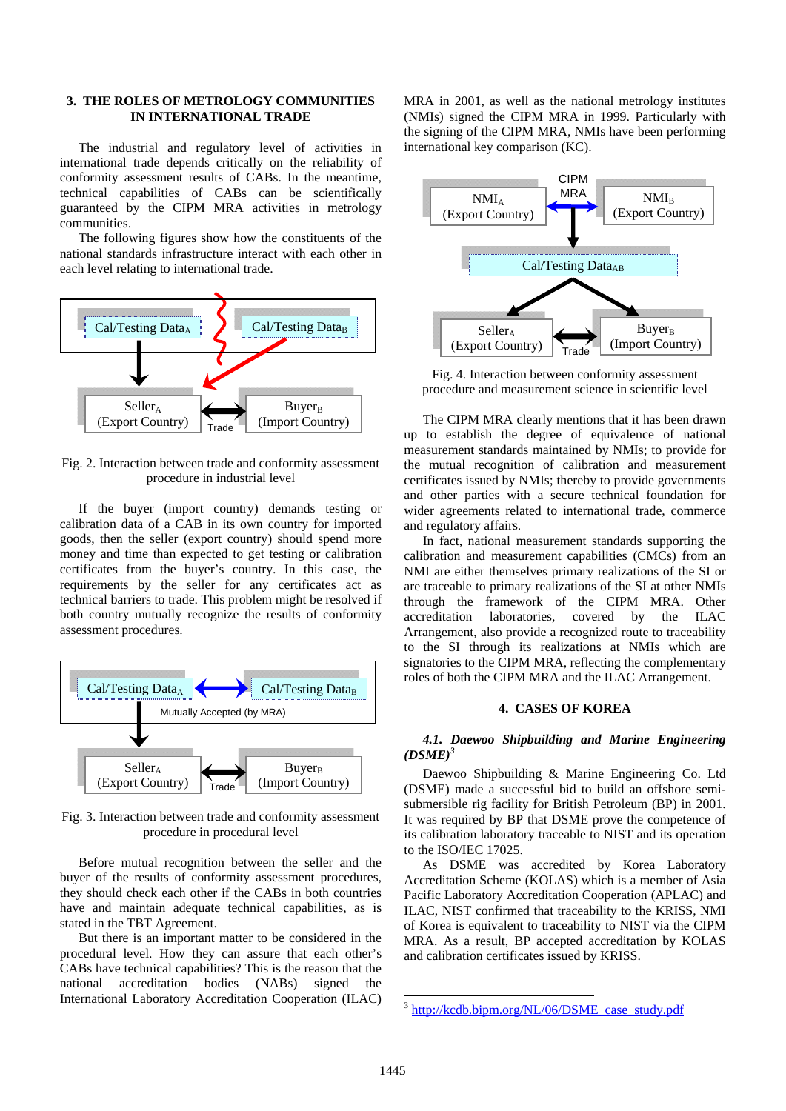## **3. THE ROLES OF METROLOGY COMMUNITIES IN INTERNATIONAL TRADE**

The industrial and regulatory level of activities in international trade depends critically on the reliability of conformity assessment results of CABs. In the meantime, technical capabilities of CABs can be scientifically guaranteed by the CIPM MRA activities in metrology communities.

The following figures show how the constituents of the national standards infrastructure interact with each other in each level relating to international trade.



Fig. 2. Interaction between trade and conformity assessment procedure in industrial level

If the buyer (import country) demands testing or calibration data of a CAB in its own country for imported goods, then the seller (export country) should spend more money and time than expected to get testing or calibration certificates from the buyer's country. In this case, the requirements by the seller for any certificates act as technical barriers to trade. This problem might be resolved if both country mutually recognize the results of conformity assessment procedures.



Fig. 3. Interaction between trade and conformity assessment procedure in procedural level

Before mutual recognition between the seller and the buyer of the results of conformity assessment procedures, they should check each other if the CABs in both countries have and maintain adequate technical capabilities, as is stated in the TBT Agreement.

But there is an important matter to be considered in the procedural level. How they can assure that each other's CABs have technical capabilities? This is the reason that the national accreditation bodies (NABs) signed the International Laboratory Accreditation Cooperation (ILAC) MRA in 2001, as well as the national metrology institutes (NMIs) signed the CIPM MRA in 1999. Particularly with the signing of the CIPM MRA, NMIs have been performing international key comparison (KC).



Fig. 4. Interaction between conformity assessment procedure and measurement science in scientific level

The CIPM MRA clearly mentions that it has been drawn up to establish the degree of equivalence of national measurement standards maintained by NMIs; to provide for the mutual recognition of calibration and measurement certificates issued by NMIs; thereby to provide governments and other parties with a secure technical foundation for wider agreements related to international trade, commerce and regulatory affairs.

In fact, national measurement standards supporting the calibration and measurement capabilities (CMCs) from an NMI are either themselves primary realizations of the SI or are traceable to primary realizations of the SI at other NMIs through the framework of the CIPM MRA. Other accreditation laboratories, covered by the ILAC Arrangement, also provide a recognized route to traceability to the SI through its realizations at NMIs which are signatories to the CIPM MRA, reflecting the complementary roles of both the CIPM MRA and the ILAC Arrangement.

## **4. CASES OF KOREA**

## *4.1. Daewoo Shipbuilding and Marine Engineering (DSME)3*

Daewoo Shipbuilding & Marine Engineering Co. Ltd (DSME) made a successful bid to build an offshore semisubmersible rig facility for British Petroleum (BP) in 2001. It was required by BP that DSME prove the competence of its calibration laboratory traceable to NIST and its operation to the ISO/IEC 17025.

As DSME was accredited by Korea Laboratory Accreditation Scheme (KOLAS) which is a member of Asia Pacific Laboratory Accreditation Cooperation (APLAC) and ILAC, NIST confirmed that traceability to the KRISS, NMI of Korea is equivalent to traceability to NIST via the CIPM MRA. As a result, BP accepted accreditation by KOLAS and calibration certificates issued by KRISS.

-

<sup>&</sup>lt;sup>3</sup> http://kcdb.bipm.org/NL/06/DSME\_case\_study.pdf